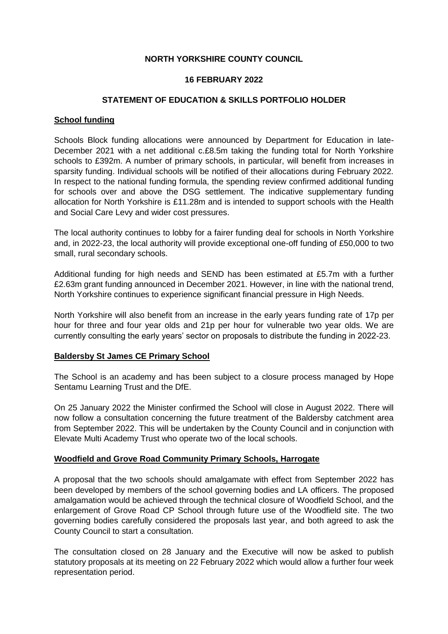### **NORTH YORKSHIRE COUNTY COUNCIL**

### **16 FEBRUARY 2022**

#### **STATEMENT OF EDUCATION & SKILLS PORTFOLIO HOLDER**

#### **School funding**

Schools Block funding allocations were announced by Department for Education in late-December 2021 with a net additional c.£8.5m taking the funding total for North Yorkshire schools to £392m. A number of primary schools, in particular, will benefit from increases in sparsity funding. Individual schools will be notified of their allocations during February 2022. In respect to the national funding formula, the spending review confirmed additional funding for schools over and above the DSG settlement. The indicative supplementary funding allocation for North Yorkshire is £11.28m and is intended to support schools with the Health and Social Care Levy and wider cost pressures.

The local authority continues to lobby for a fairer funding deal for schools in North Yorkshire and, in 2022-23, the local authority will provide exceptional one-off funding of £50,000 to two small, rural secondary schools.

Additional funding for high needs and SEND has been estimated at £5.7m with a further £2.63m grant funding announced in December 2021. However, in line with the national trend, North Yorkshire continues to experience significant financial pressure in High Needs.

North Yorkshire will also benefit from an increase in the early years funding rate of 17p per hour for three and four year olds and 21p per hour for vulnerable two year olds. We are currently consulting the early years' sector on proposals to distribute the funding in 2022-23.

### **Baldersby St James CE Primary School**

The School is an academy and has been subject to a closure process managed by Hope Sentamu Learning Trust and the DfE.

On 25 January 2022 the Minister confirmed the School will close in August 2022. There will now follow a consultation concerning the future treatment of the Baldersby catchment area from September 2022. This will be undertaken by the County Council and in conjunction with Elevate Multi Academy Trust who operate two of the local schools.

### **Woodfield and Grove Road Community Primary Schools, Harrogate**

A proposal that the two schools should amalgamate with effect from September 2022 has been developed by members of the school governing bodies and LA officers. The proposed amalgamation would be achieved through the technical closure of Woodfield School, and the enlargement of Grove Road CP School through future use of the Woodfield site. The two governing bodies carefully considered the proposals last year, and both agreed to ask the County Council to start a consultation.

The consultation closed on 28 January and the Executive will now be asked to publish statutory proposals at its meeting on 22 February 2022 which would allow a further four week representation period.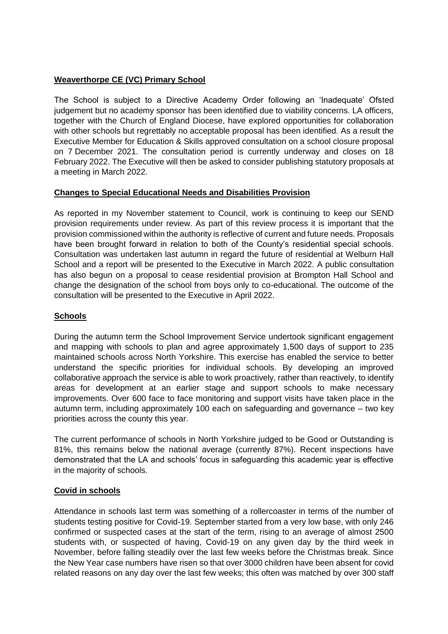# **Weaverthorpe CE (VC) Primary School**

The School is subject to a Directive Academy Order following an 'Inadequate' Ofsted judgement but no academy sponsor has been identified due to viability concerns. LA officers, together with the Church of England Diocese, have explored opportunities for collaboration with other schools but regrettably no acceptable proposal has been identified. As a result the Executive Member for Education & Skills approved consultation on a school closure proposal on 7 December 2021. The consultation period is currently underway and closes on 18 February 2022. The Executive will then be asked to consider publishing statutory proposals at a meeting in March 2022.

# **Changes to Special Educational Needs and Disabilities Provision**

As reported in my November statement to Council, work is continuing to keep our SEND provision requirements under review. As part of this review process it is important that the provision commissioned within the authority is reflective of current and future needs. Proposals have been brought forward in relation to both of the County's residential special schools. Consultation was undertaken last autumn in regard the future of residential at Welburn Hall School and a report will be presented to the Executive in March 2022. A public consultation has also begun on a proposal to cease residential provision at Brompton Hall School and change the designation of the school from boys only to co-educational. The outcome of the consultation will be presented to the Executive in April 2022.

### **Schools**

During the autumn term the School Improvement Service undertook significant engagement and mapping with schools to plan and agree approximately 1,500 days of support to 235 maintained schools across North Yorkshire. This exercise has enabled the service to better understand the specific priorities for individual schools. By developing an improved collaborative approach the service is able to work proactively, rather than reactively, to identify areas for development at an earlier stage and support schools to make necessary improvements. Over 600 face to face monitoring and support visits have taken place in the autumn term, including approximately 100 each on safeguarding and governance – two key priorities across the county this year.

The current performance of schools in North Yorkshire judged to be Good or Outstanding is 81%, this remains below the national average (currently 87%). Recent inspections have demonstrated that the LA and schools' focus in safeguarding this academic year is effective in the majority of schools.

# **Covid in schools**

Attendance in schools last term was something of a rollercoaster in terms of the number of students testing positive for Covid-19. September started from a very low base, with only 246 confirmed or suspected cases at the start of the term, rising to an average of almost 2500 students with, or suspected of having, Covid-19 on any given day by the third week in November, before falling steadily over the last few weeks before the Christmas break. Since the New Year case numbers have risen so that over 3000 children have been absent for covid related reasons on any day over the last few weeks; this often was matched by over 300 staff